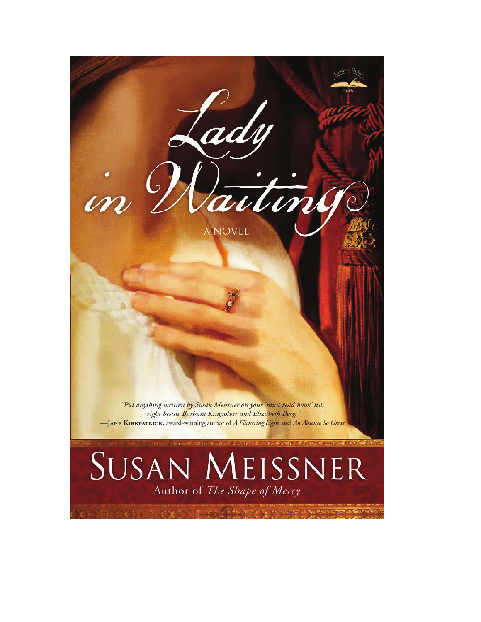

## SUSAN MEISSNER Author of The Shape of Mercy

いしょう そうしょうぶつしょ たいしょう すいりとく キャンピ きゅうりょうか のこくだい

**A NOVEL** 

 $\dot{m}$ 

Lady

Vaitin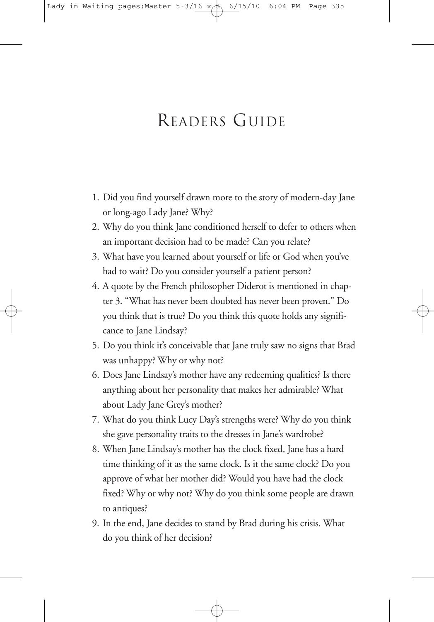## READERS GUIDE

- 1. Did you find yourself drawn more to the story of modern-day Jane or long-ago Lady Jane? Why?
- 2. Why do you think Jane conditioned herself to defer to others when an important decision had to be made? Can you relate?
- 3. What have you learned about yourself or life or God when you've had to wait? Do you consider yourself a patient person?
- 4. A quote by the French philosopher Diderot is mentioned in chapter 3. "What has never been doubted has never been proven." Do you think that is true? Do you think this quote holds any significance to Jane Lindsay?
- 5. Do you think it's conceivable that Jane truly saw no signs that Brad was unhappy? Why or why not?
- 6. Does Jane Lindsay's mother have any redeeming qualities? Is there anything about her personality that makes her admirable? What about Lady Jane Grey's mother?
- 7. What do you think Lucy Day's strengths were? Why do you think she gave personality traits to the dresses in Jane's wardrobe?
- 8. When Jane Lindsay's mother has the clock fixed, Jane has a hard time thinking of it as the same clock. Is it the same clock? Do you approve of what her mother did? Would you have had the clock fixed? Why or why not? Why do you think some people are drawn to antiques?
- 9. In the end, Jane decides to stand by Brad during his crisis. What do you think of her decision?